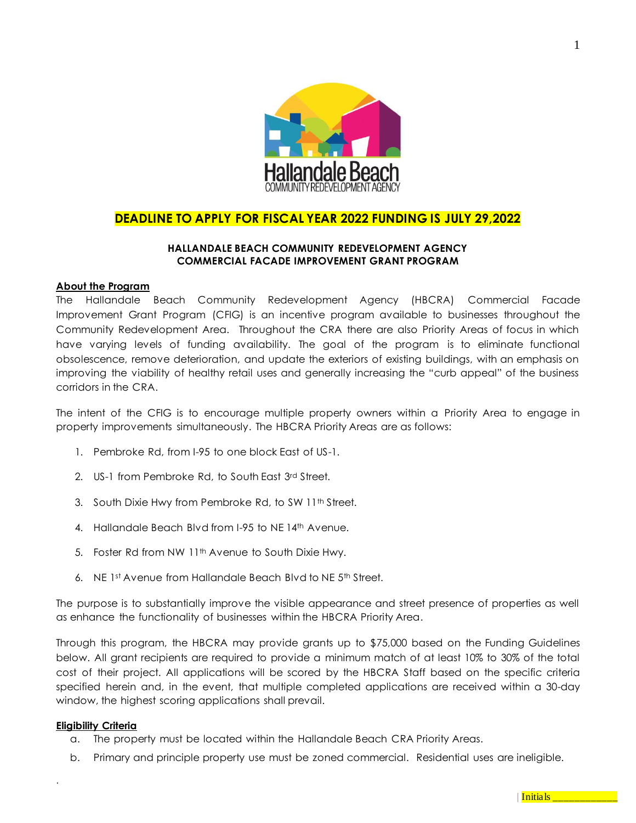

## **DEADLINE TO APPLY FOR FISCAL YEAR 2022 FUNDING IS JULY 29,2022**

## **HALLANDALE BEACH COMMUNITY REDEVELOPMENT AGENCY COMMERCIAL FACADE IMPROVEMENT GRANT PROGRAM**

## **About the Program**

The Hallandale Beach Community Redevelopment Agency (HBCRA) Commercial Facade Improvement Grant Program (CFIG) is an incentive program available to businesses throughout the Community Redevelopment Area. Throughout the CRA there are also Priority Areas of focus in which have varying levels of funding availability. The goal of the program is to eliminate functional obsolescence, remove deterioration, and update the exteriors of existing buildings, with an emphasis on improving the viability of healthy retail uses and generally increasing the "curb appeal" of the business corridors in the CRA.

The intent of the CFIG is to encourage multiple property owners within a Priority Area to engage in property improvements simultaneously. The HBCRA Priority Areas are as follows:

- 1. Pembroke Rd, from I-95 to one block East of US-1.
- 2. US-1 from Pembroke Rd, to South East 3rd Street.
- 3. South Dixie Hwy from Pembroke Rd, to SW 11th Street.
- 4. Hallandale Beach Blvd from I-95 to NE 14th Avenue.
- 5. Foster Rd from NW 11<sup>th</sup> Avenue to South Dixie Hwy.
- 6. NE 1st Avenue from Hallandale Beach Blvd to NE 5th Street.

The purpose is to substantially improve the visible appearance and street presence of properties as well as enhance the functionality of businesses within the HBCRA Priority Area.

Through this program, the HBCRA may provide grants up to \$75,000 based on the Funding Guidelines below. All grant recipients are required to provide a minimum match of at least 10% to 30% of the total cost of their project. All applications will be scored by the HBCRA Staff based on the specific criteria specified herein and, in the event, that multiple completed applications are received within a 30-day window, the highest scoring applications shall prevail.

### **Eligibility Criteria**

- a. The property must be located within the Hallandale Beach CRA Priority Areas.
- b. Primary and principle property use must be zoned commercial. Residential uses are ineligible.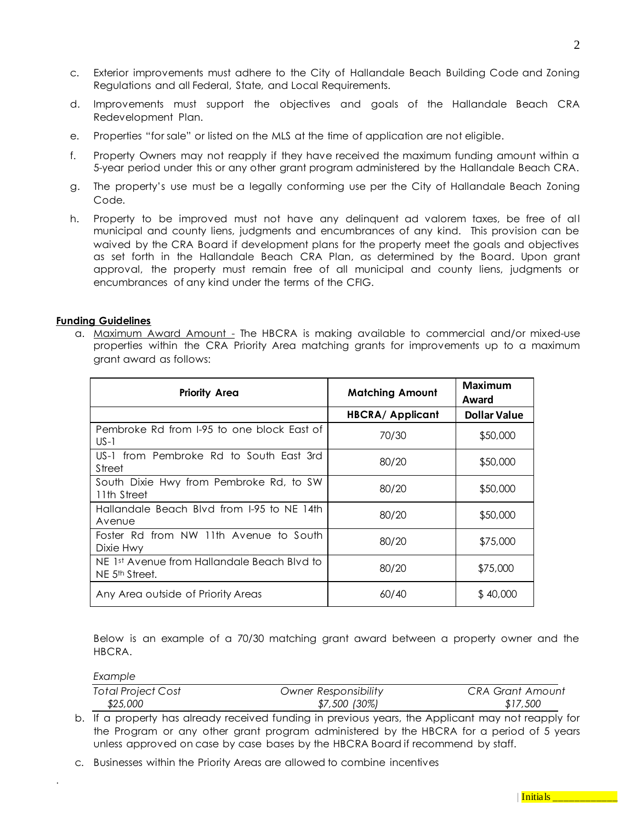- c. Exterior improvements must adhere to the City of Hallandale Beach Building Code and Zoning Regulations and all Federal, State, and Local Requirements.
- d. Improvements must support the objectives and goals of the Hallandale Beach CRA Redevelopment Plan.
- e. Properties "for sale" or listed on the MLS at the time of application are not eligible.
- f. Property Owners may not reapply if they have received the maximum funding amount within a 5-year period under this or any other grant program administered by the Hallandale Beach CRA.
- g. The property's use must be a legally conforming use per the City of Hallandale Beach Zoning Code.
- h. Property to be improved must not have any delinguent ad valorem taxes, be free of all municipal and county liens, judgments and encumbrances of any kind. This provision can be waived by the CRA Board if development plans for the property meet the goals and objectives as set forth in the Hallandale Beach CRA Plan, as determined by the Board. Upon grant approval, the property must remain free of all municipal and county liens, judgments or encumbrances of any kind under the terms of the CFIG.

## **Funding Guidelines**

a. Maximum Award Amount - The HBCRA is making available to commercial and/or mixed-use properties within the CRA Priority Area matching grants for improvements up to a maximum grant award as follows:

| <b>Priority Area</b>                                                      | <b>Matching Amount</b> | Maximum<br>Award    |
|---------------------------------------------------------------------------|------------------------|---------------------|
|                                                                           | <b>HBCRA/Applicant</b> | <b>Dollar Value</b> |
| Pembroke Rd from I-95 to one block East of<br>$US-1$                      | 70/30                  | \$50,000            |
| US-1 from Pembroke Rd to South East 3rd<br>Street                         | 80/20                  | \$50,000            |
| South Dixie Hwy from Pembroke Rd, to SW<br>11th Street                    | 80/20                  | \$50,000            |
| Hallandale Beach Blvd from 1-95 to NE 14th<br>Avenue                      | 80/20                  | \$50,000            |
| Foster Rd from NW 11th Avenue to South<br>Dixie Hwy                       | 80/20                  | \$75,000            |
| NE 1st Avenue from Hallandale Beach Blyd to<br>NE 5 <sup>th</sup> Street. | 80/20                  | \$75,000            |
| Any Area outside of Priority Areas                                        | 60/40                  | \$40,000            |

Below is an example of a 70/30 matching grant award between a property owner and the HBCRA.

*Example*

| <b>Total Project Cost</b> | <b>Owner Responsibility</b> | CRA Grant Amount |
|---------------------------|-----------------------------|------------------|
| \$25,000                  | \$7,500 (30%)               | \$17,500         |

- b. If a property has already received funding in previous years, the Applicant may not reapply for the Program or any other grant program administered by the HBCRA for a period of 5 years unless approved on case by case bases by the HBCRA Board if recommend by staff.
- c. Businesses within the Priority Areas are allowed to combine incentives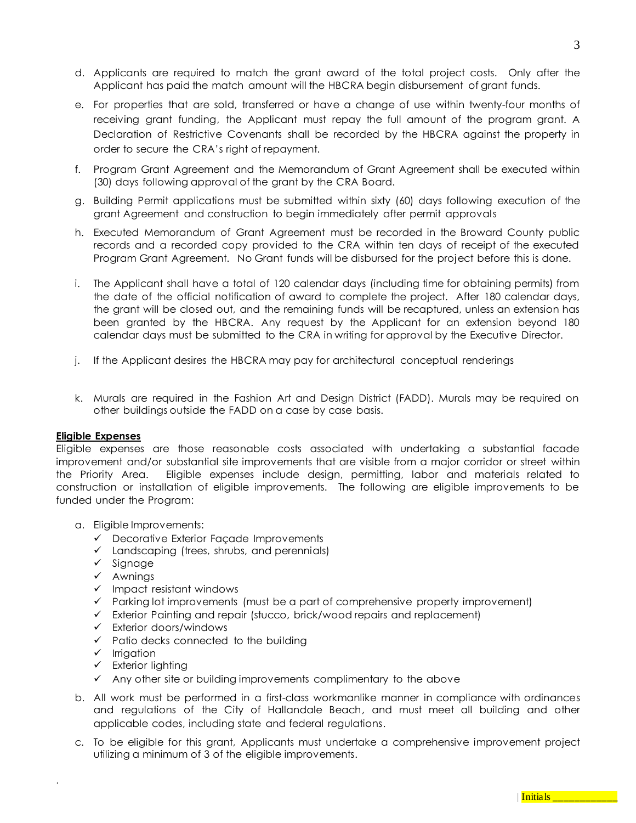- d. Applicants are required to match the grant award of the total project costs. Only after the Applicant has paid the match amount will the HBCRA begin disbursement of grant funds.
- e. For properties that are sold, transferred or have a change of use within twenty-four months of receiving grant funding, the Applicant must repay the full amount of the program grant. A Declaration of Restrictive Covenants shall be recorded by the HBCRA against the property in order to secure the CRA's right of repayment.
- f. Program Grant Agreement and the Memorandum of Grant Agreement shall be executed within (30) days following approval of the grant by the CRA Board.
- g. Building Permit applications must be submitted within sixty (60) days following execution of the grant Agreement and construction to begin immediately after permit approvals
- h. Executed Memorandum of Grant Agreement must be recorded in the Broward County public records and a recorded copy provided to the CRA within ten days of receipt of the executed Program Grant Agreement. No Grant funds will be disbursed for the project before this is done.
- i. The Applicant shall have a total of 120 calendar days (including time for obtaining permits) from the date of the official notification of award to complete the project. After 180 calendar days, the grant will be closed out, and the remaining funds will be recaptured, unless an extension has been granted by the HBCRA. Any request by the Applicant for an extension beyond 180 calendar days must be submitted to the CRA in writing for approval by the Executive Director.
- j. If the Applicant desires the HBCRA may pay for architectural conceptual renderings
- k. Murals are required in the Fashion Art and Design District (FADD). Murals may be required on other buildings outside the FADD on a case by case basis.

### **Eligible Expenses**

Eligible expenses are those reasonable costs associated with undertaking a substantial facade improvement and/or substantial site improvements that are visible from a major corridor or street within the Priority Area. Eligible expenses include design, permitting, labor and materials related to construction or installation of eligible improvements. The following are eligible improvements to be funded under the Program:

- a. Eligible Improvements:
	- ✓ Decorative Exterior Façade Improvements
	- $\checkmark$  Landscaping (trees, shrubs, and perennials)
	- ✓ Signage
	- ✓ Awnings
	- ✓ Impact resistant windows
	- ✓ Parking lot improvements (must be a part of comprehensive property improvement)
	- ✓ Exterior Painting and repair (stucco, brick/wood repairs and replacement)
	- ✓ Exterior doors/windows
	- $\checkmark$  Patio decks connected to the building
	- ✓ Irrigation

- $\checkmark$  Exterior lighting
- ✓ Any other site or building improvements complimentary to the above
- b. All work must be performed in a first-class workmanlike manner in compliance with ordinances and regulations of the City of Hallandale Beach, and must meet all building and other applicable codes, including state and federal regulations.
- c. To be eligible for this grant, Applicants must undertake a comprehensive improvement project utilizing a minimum of 3 of the eligible improvements.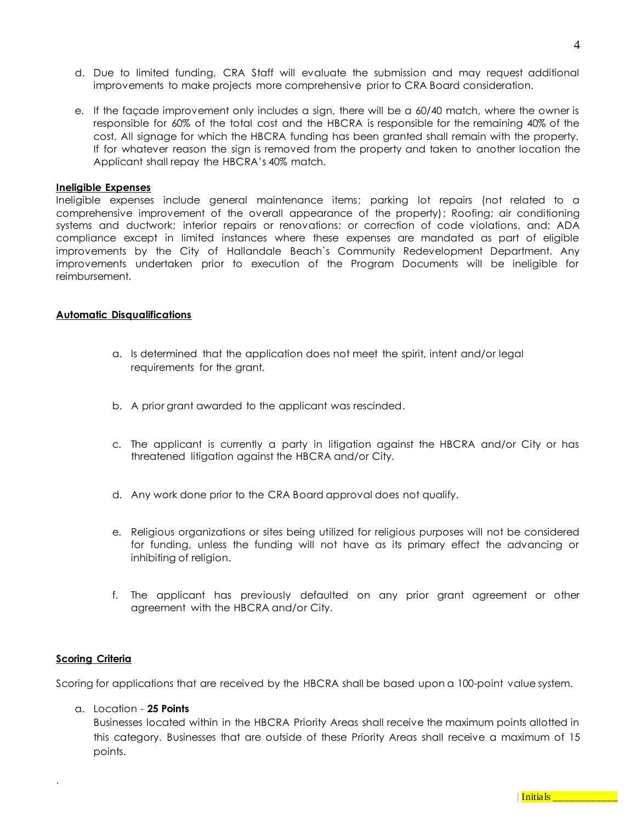- d. Due to limited funding, CRA Staff will evaluate the submission and may request additional improvements to make projects more comprehensive prior to CRA Board consideration.
- e. If the façade improvement only includes a sign, there will be a 60/40 match, where the owner is responsible for 60% of the total cost and the HBCRA is responsible for the remaining 40% of the cost. All signage for which the HBCRA funding has been granted shall remain with the property. If for whatever reason the sign is removed from the property and taken to another location the Applicant shall repay the HBCRA's 40% match.

#### **Ineligible Expenses**

Ineligible expenses include general maintenance items; parking lot repairs (not related to a comprehensive improvement of the overall appearance of the property); Roofing; air conditioning systems and ductwork; interior repairs or renovations; or correction of code violations, and; ADA compliance except in limited instances where these expenses are mandated as part of eligible improvements by the City of Hallandale Beach`s Community Redevelopment Department. Any improvements undertaken prior to execution of the Program Documents will be ineligible for reimbursement.

#### **Automatic Disqualifications**

- a. Is determined that the application does not meet the spirit, intent and/or legal requirements for the grant.
- b. A prior grant awarded to the applicant was rescinded.
- c. The applicant is currently a party in litigation against the HBCRA and/or City or has threatened litigation against the HBCRA and/or City.
- d. Any work done prior to the CRA Board approval does not qualify.
- e. Religious organizations or sites being utilized for religious purposes will not be considered for funding, unless the funding will not have as its primary effect the advancing or inhibiting of religion.
- f. The applicant has previously defaulted on any prior grant agreement or other agreement with the HBCRA and/or City.

### **Scoring Criteria**

.

Scoring for applications that are received by the HBCRA shall be based upon a 100-point value system.

a. Location - **25 Points**

Businesses located within in the HBCRA Priority Areas shall receive the maximum points allotted in this category. Businesses that are outside of these Priority Areas shall receive a maximum of 15 points.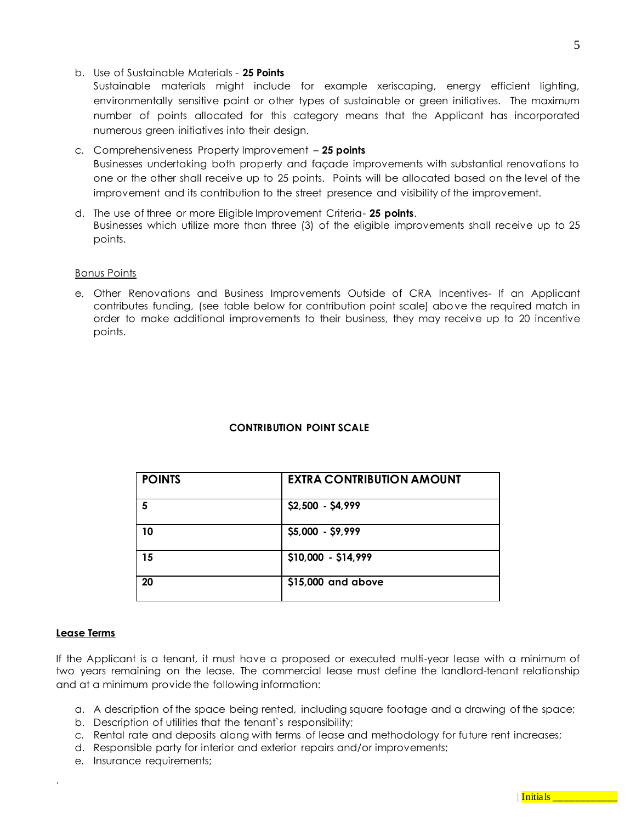### b. Use of Sustainable Materials - **25 Points**

Sustainable materials might include for example xeriscaping, energy efficient lighting, environmentally sensitive paint or other types of sustainable or green initiatives. The maximum number of points allocated for this category means that the Applicant has incorporated numerous green initiatives into their design.

- c. Comprehensiveness Property Improvement **25 points** Businesses undertaking both property and façade improvements with substantial renovations to one or the other shall receive up to 25 points. Points will be allocated based on the level of the improvement and its contribution to the street presence and visibility of the improvement.
- d. The use of three or more Eligible Improvement Criteria- **25 points**. Businesses which utilize more than three (3) of the eligible improvements shall receive up to 25 points.

### Bonus Points

e. Other Renovations and Business Improvements Outside of CRA Incentives- If an Applicant contributes funding, (see table below for contribution point scale) above the required match in order to make additional improvements to their business, they may receive up to 20 incentive points.

## **CONTRIBUTION POINT SCALE**

| <b>POINTS</b> | <b>EXTRA CONTRIBUTION AMOUNT</b> |
|---------------|----------------------------------|
| 5             | \$2,500 - \$4,999                |
| 10            | \$5,000 - \$9,999                |
| 15            | \$10,000 - \$14,999              |
| 20            | \$15,000 and above               |

### **Lease Terms**

.

If the Applicant is a tenant, it must have a proposed or executed multi-year lease with a minimum of two years remaining on the lease. The commercial lease must define the landlord-tenant relationship and at a minimum provide the following information:

- a. A description of the space being rented, including square footage and a drawing of the space;
- b. Description of utilities that the tenant`s responsibility;
- c. Rental rate and deposits along with terms of lease and methodology for future rent increases;
- d. Responsible party for interior and exterior repairs and/or improvements;
- e. Insurance requirements;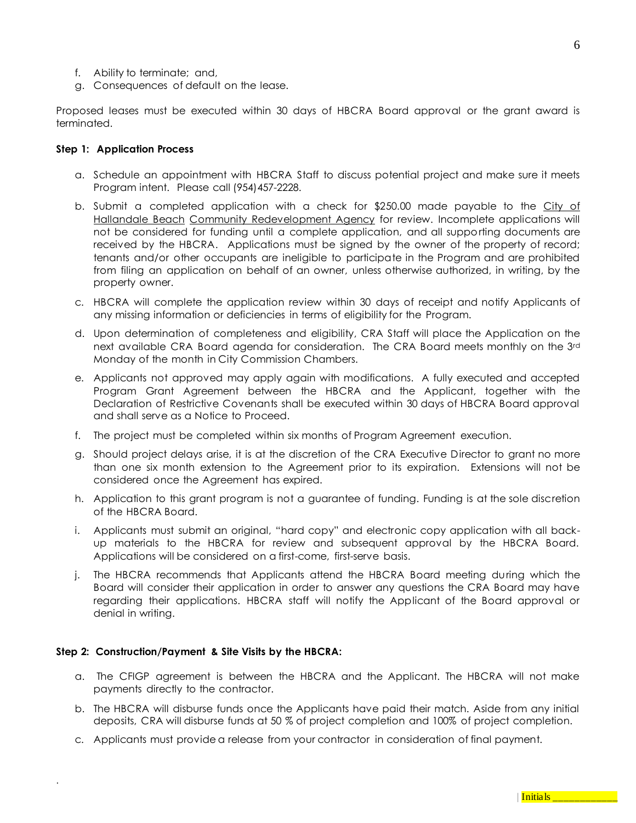- f. Ability to terminate; and,
- g. Consequences of default on the lease.

Proposed leases must be executed within 30 days of HBCRA Board approval or the grant award is terminated.

### **Step 1: Application Process**

- a. Schedule an appointment with HBCRA Staff to discuss potential project and make sure it meets Program intent. Please call (954)457-2228.
- b. Submit a completed application with a check for  $$250.00$  made payable to the City of Hallandale Beach Community Redevelopment Agency for review. Incomplete applications will not be considered for funding until a complete application, and all supporting documents are received by the HBCRA. Applications must be signed by the owner of the property of record; tenants and/or other occupants are ineligible to participate in the Program and are prohibited from filing an application on behalf of an owner, unless otherwise authorized, in writing, by the property owner.
- c. HBCRA will complete the application review within 30 days of receipt and notify Applicants of any missing information or deficiencies in terms of eligibility for the Program.
- d. Upon determination of completeness and eligibility, CRA Staff will place the Application on the next available CRA Board agenda for consideration. The CRA Board meets monthly on the 3rd Monday of the month in City Commission Chambers.
- e. Applicants not approved may apply again with modifications. A fully executed and accepted Program Grant Agreement between the HBCRA and the Applicant, together with the Declaration of Restrictive Covenants shall be executed within 30 days of HBCRA Board approval and shall serve as a Notice to Proceed.
- f. The project must be completed within six months of Program Agreement execution.
- g. Should project delays arise, it is at the discretion of the CRA Executive Director to grant no more than one six month extension to the Agreement prior to its expiration. Extensions will not be considered once the Agreement has expired.
- h. Application to this grant program is not a guarantee of funding. Funding is at the sole discretion of the HBCRA Board.
- i. Applicants must submit an original, "hard copy" and electronic copy application with all backup materials to the HBCRA for review and subsequent approval by the HBCRA Board. Applications will be considered on a first-come, first-serve basis.
- j. The HBCRA recommends that Applicants attend the HBCRA Board meeting during which the Board will consider their application in order to answer any questions the CRA Board may have regarding their applications. HBCRA staff will notify the Applicant of the Board approval or denial in writing.

### **Step 2: Construction/Payment & Site Visits by the HBCRA:**

- a. The CFIGP agreement is between the HBCRA and the Applicant. The HBCRA will not make payments directly to the contractor.
- b. The HBCRA will disburse funds once the Applicants have paid their match. Aside from any initial deposits, CRA will disburse funds at 50 % of project completion and 100% of project completion.
- c. Applicants must provide a release from your contractor in consideration of final payment.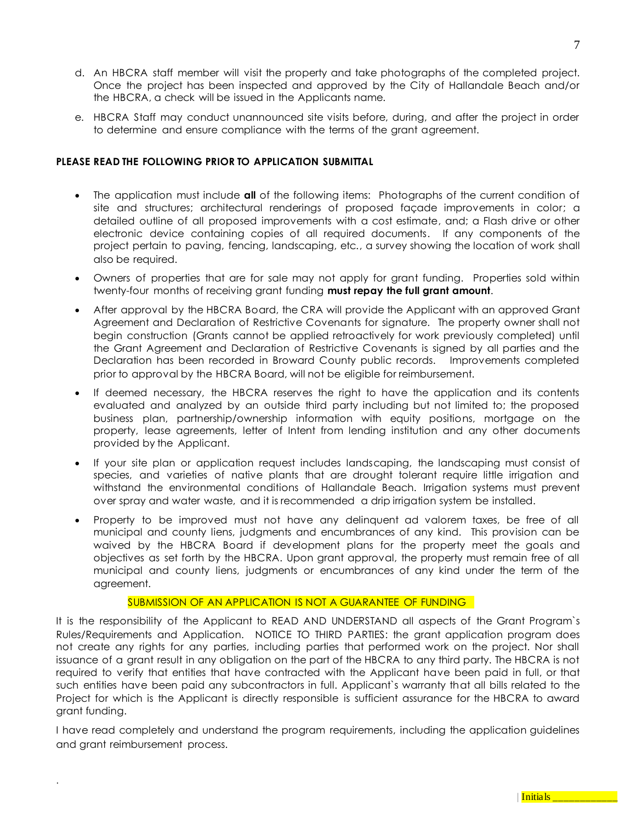- d. An HBCRA staff member will visit the property and take photographs of the completed project. Once the project has been inspected and approved by the City of Hallandale Beach and/or the HBCRA, a check will be issued in the Applicants name.
- e. HBCRA Staff may conduct unannounced site visits before, during, and after the project in order to determine and ensure compliance with the terms of the grant agreement.

## **PLEASE READ THE FOLLOWING PRIOR TO APPLICATION SUBMITTAL**

- The application must include **all** of the following items: Photographs of the current condition of site and structures; architectural renderings of proposed façade improvements in color; a detailed outline of all proposed improvements with a cost estimate, and; a Flash drive or other electronic device containing copies of all required documents. If any components of the project pertain to paving, fencing, landscaping, etc., a survey showing the location of work shall also be required.
- Owners of properties that are for sale may not apply for grant funding. Properties sold within twenty-four months of receiving grant funding **must repay the full grant amount**.
- After approval by the HBCRA Board, the CRA will provide the Applicant with an approved Grant Agreement and Declaration of Restrictive Covenants for signature. The property owner shall not begin construction (Grants cannot be applied retroactively for work previously completed) until the Grant Agreement and Declaration of Restrictive Covenants is signed by all parties and the Declaration has been recorded in Broward County public records. Improvements completed prior to approval by the HBCRA Board, will not be eligible for reimbursement.
- If deemed necessary, the HBCRA reserves the right to have the application and its contents evaluated and analyzed by an outside third party including but not limited to; the proposed business plan, partnership/ownership information with equity positions, mortgage on the property, lease agreements, letter of Intent from lending institution and any other documents provided by the Applicant.
- If your site plan or application request includes landscaping, the landscaping must consist of species, and varieties of native plants that are drought tolerant require little irrigation and withstand the environmental conditions of Hallandale Beach. Irrigation systems must prevent over spray and water waste, and it is recommended a drip irrigation system be installed.
- Property to be improved must not have any delinquent ad valorem taxes, be free of all municipal and county liens, judgments and encumbrances of any kind. This provision can be waived by the HBCRA Board if development plans for the property meet the goals and objectives as set forth by the HBCRA. Upon grant approval, the property must remain free of all municipal and county liens, judgments or encumbrances of any kind under the term of the agreement.

## SUBMISSION OF AN APPLICATION IS NOT A GUARANTEE OF FUNDING

It is the responsibility of the Applicant to READ AND UNDERSTAND all aspects of the Grant Program`s Rules/Requirements and Application. NOTICE TO THIRD PARTIES: the grant application program does not create any rights for any parties, including parties that performed work on the project. Nor shall issuance of a grant result in any obligation on the part of the HBCRA to any third party. The HBCRA is not required to verify that entities that have contracted with the Applicant have been paid in full, or that such entities have been paid any subcontractors in full. Applicant`s warranty that all bills related to the Project for which is the Applicant is directly responsible is sufficient assurance for the HBCRA to award grant funding.

I have read completely and understand the program requirements, including the application guidelines and grant reimbursement process.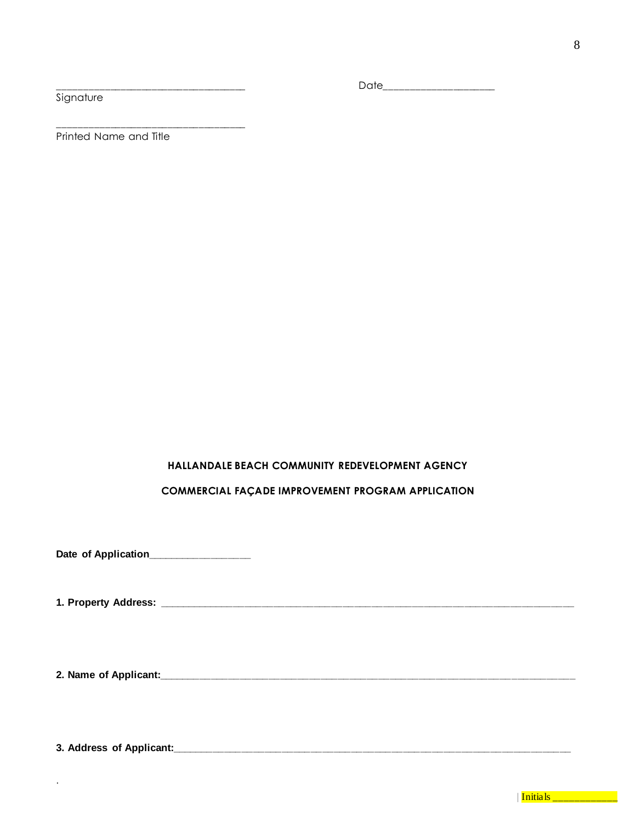## Signature

Printed Name and Title

\_\_\_\_\_\_\_\_\_\_\_\_\_\_\_\_\_\_\_\_\_\_\_\_\_\_\_\_\_\_\_\_\_\_\_\_

## **HALLANDALE BEACH COMMUNITY REDEVELOPMENT AGENCY**

## **COMMERCIAL FAÇADE IMPROVEMENT PROGRAM APPLICATION**

**Date of Application\_\_\_\_\_\_\_\_\_\_\_\_\_\_\_\_\_\_**

**1. Property Address: \_\_\_\_\_\_\_\_\_\_\_\_\_\_\_\_\_\_\_\_\_\_\_\_\_\_\_\_\_\_\_\_\_\_\_\_\_\_\_\_\_\_\_\_\_\_\_\_\_\_\_\_\_\_\_\_\_\_\_\_\_\_\_\_\_\_\_\_\_\_\_\_**

**2. Name of Applicant:\_\_\_\_\_\_\_\_\_\_\_\_\_\_\_\_\_\_\_\_\_\_\_\_\_\_\_\_\_\_\_\_\_\_\_\_\_\_\_\_\_\_\_\_\_\_\_\_\_\_\_\_\_\_\_\_\_\_\_\_\_\_\_\_\_\_\_\_\_\_\_\_**

**3. Address of Applicant:\_\_\_\_\_\_\_\_\_\_\_\_\_\_\_\_\_\_\_\_\_\_\_\_\_\_\_\_\_\_\_\_\_\_\_\_\_\_\_\_\_\_\_\_\_\_\_\_\_\_\_\_\_\_\_\_\_\_\_\_\_\_\_\_\_\_\_\_\_**

.

\_\_\_\_\_\_\_\_\_\_\_\_\_\_\_\_\_\_\_\_\_\_\_\_\_\_\_\_\_\_\_\_\_\_\_\_ Date\_\_\_\_\_\_\_\_\_\_\_\_\_\_\_\_\_\_\_\_\_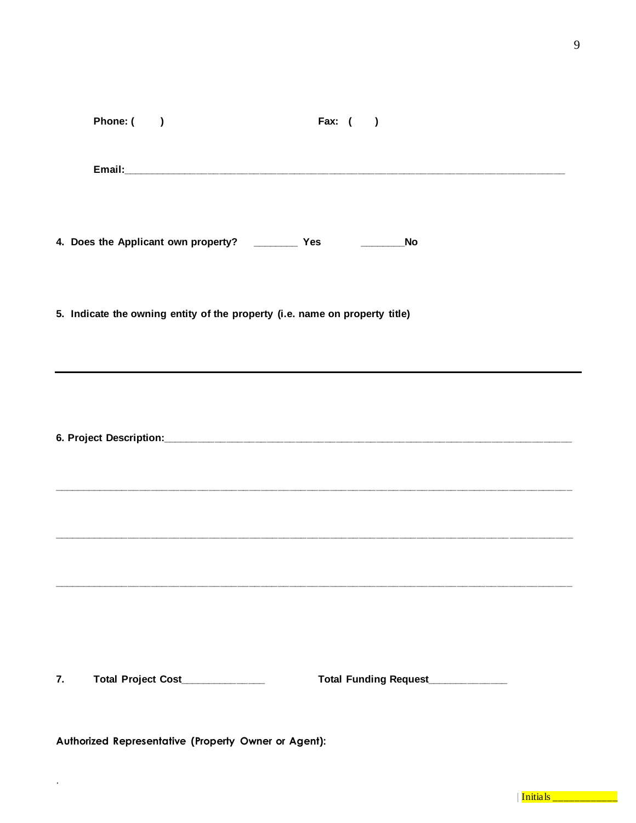|    | Phone: () |                                                                             | Fax: $($ ) |                                  |  |
|----|-----------|-----------------------------------------------------------------------------|------------|----------------------------------|--|
|    |           |                                                                             |            |                                  |  |
|    |           | 4. Does the Applicant own property? ____________ Yes _________________No    |            |                                  |  |
|    |           | 5. Indicate the owning entity of the property (i.e. name on property title) |            |                                  |  |
|    |           |                                                                             |            |                                  |  |
| 7. |           | Total Project Cost____________                                              |            | Total Funding Request___________ |  |

Authorized Representative (Property Owner or Agent):

 $\ddot{\phantom{a}}$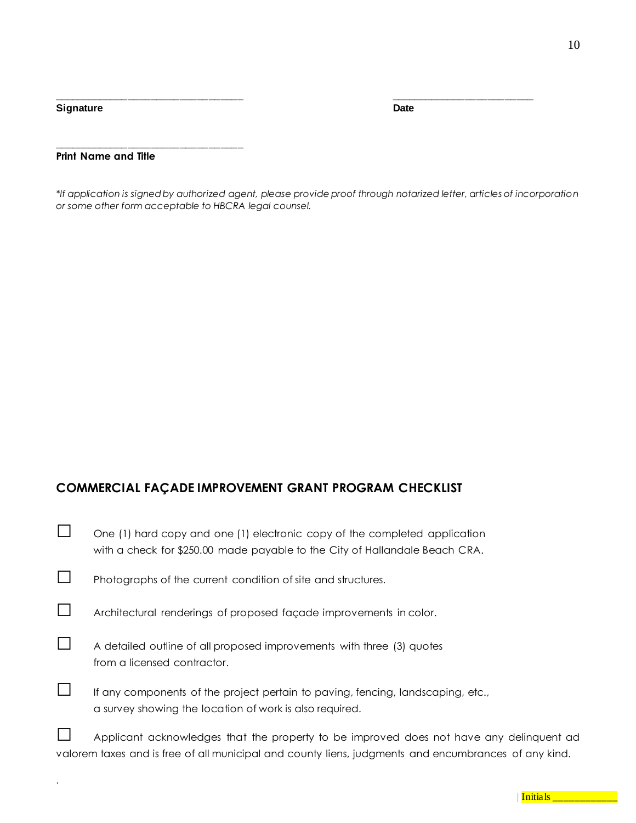**Signature Date** 

.

**Print Name and Title**

**\_\_\_\_\_\_\_\_\_\_\_\_\_\_\_\_\_\_\_\_\_\_\_\_\_\_\_\_\_\_\_\_\_**

*\*If application is signed by authorized agent, please provide proof through notarized letter, articles of incorporation or some other form acceptable to HBCRA legal counsel.*

**\_\_\_\_\_\_\_\_\_\_\_\_\_\_\_\_\_\_\_\_\_\_\_\_\_\_\_\_\_\_\_\_\_ \_\_\_\_\_\_\_\_\_\_\_\_\_\_\_\_\_\_\_\_\_\_\_\_\_**

# **COMMERCIAL FAÇADE IMPROVEMENT GRANT PROGRAM CHECKLIST**

|        | One (1) hard copy and one (1) electronic copy of the completed application<br>with a check for \$250.00 made payable to the City of Hallandale Beach CRA.                                       |
|--------|-------------------------------------------------------------------------------------------------------------------------------------------------------------------------------------------------|
|        | Photographs of the current condition of site and structures.                                                                                                                                    |
|        | Architectural renderings of proposed façade improvements in color.                                                                                                                              |
|        | A detailed outline of all proposed improvements with three (3) quotes<br>from a licensed contractor.                                                                                            |
| $\Box$ | If any components of the project pertain to paving, fencing, landscaping, etc.,<br>a survey showing the location of work is also required.                                                      |
|        | Applicant acknowledges that the property to be improved does not have any delinquent ad<br>valorem taxes and is free of all municipal and county liens, judgments and encumbrances of any kind. |